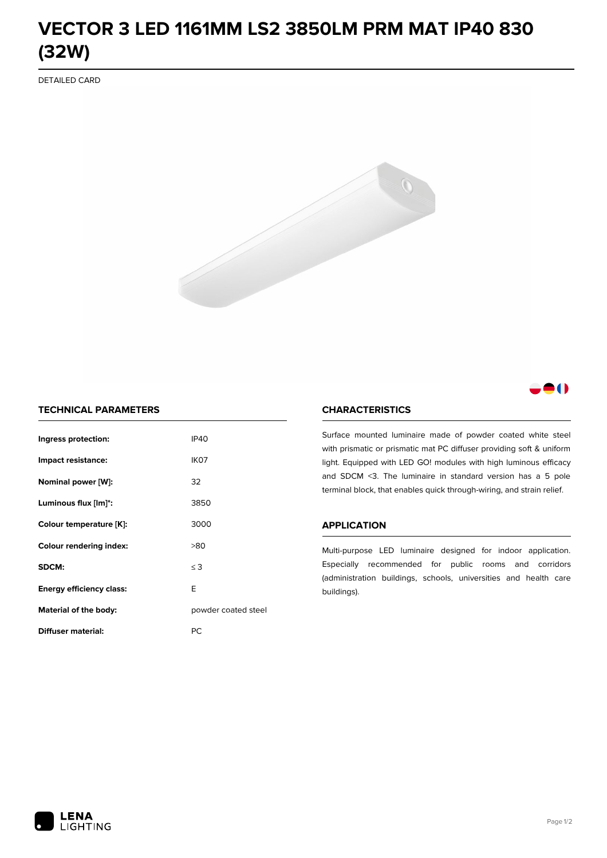# **VECTOR 3 LED 1161MM LS2 3850LM PRM MAT IP40 830 (32W)**

DETAILED CARD



# 80

## **TECHNICAL PARAMETERS**

| Ingress protection:             | <b>IP40</b>         |  |
|---------------------------------|---------------------|--|
| Impact resistance:              | IK <sub>07</sub>    |  |
| Nominal power [W]:              | 32                  |  |
| Luminous flux [lm]*:            | 3850                |  |
| Colour temperature [K]:         | 3000                |  |
| <b>Colour rendering index:</b>  | >80                 |  |
| SDCM:                           | $\leq$ 3            |  |
| <b>Energy efficiency class:</b> | E                   |  |
| Material of the body:           | powder coated steel |  |
| Diffuser material:              | РC                  |  |

### **CHARACTERISTICS**

Surface mounted luminaire made of powder coated white steel with prismatic or prismatic mat PC diffuser providing soft & uniform light. Equipped with LED GO! modules with high luminous efficacy and SDCM <3. The luminaire in standard version has a 5 pole terminal block, that enables quick through-wiring, and strain relief.

#### **APPLICATION**

Multi-purpose LED luminaire designed for indoor application. Especially recommended for public rooms and corridors (administration buildings, schools, universities and health care buildings).